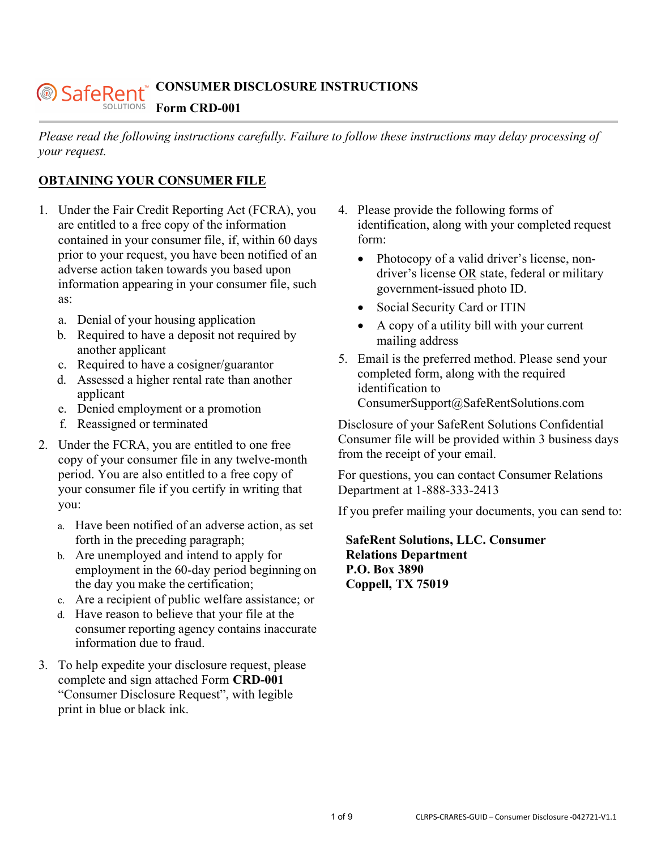#### **CONSUMER DISCLOSURE INSTRUCTIONS** *@SafeRent* SOLUTIONS **Form CRD-001**

*Please read the following instructions carefully. Failure to follow these instructions may delay processing of your request.* 

## **OBTAINING YOUR CONSUMER FILE**

- 1. Under the Fair Credit Reporting Act (FCRA), you are entitled to a free copy of the information contained in your consumer file, if, within 60 days prior to your request, you have been notified of an adverse action taken towards you based upon information appearing in your consumer file, such as:
	- a. Denial of your housing application
	- b. Required to have a deposit not required by another applicant
	- c. Required to have a cosigner/guarantor
	- d. Assessed a higher rental rate than another applicant
	- e. Denied employment or a promotion
	- f. Reassigned or terminated
- 2. Under the FCRA, you are entitled to one free copy of your consumer file in any twelve-month period. You are also entitled to a free copy of your consumer file if you certify in writing that you:
	- a. Have been notified of an adverse action, as set forth in the preceding paragraph;
	- b. Are unemployed and intend to apply for employment in the 60-day period beginning on the day you make the certification;
	- c. Are a recipient of public welfare assistance; or
	- d. Have reason to believe that your file at the consumer reporting agency contains inaccurate information due to fraud.
- 3. To help expedite your disclosure request, please complete and sign attached Form **CRD-001** "Consumer Disclosure Request", with legible print in blue or black ink.
- 4. Please provide the following forms of identification, along with your completed request form:
	- Photocopy of a valid driver's license, nondriver's license OR state, federal or military government-issued photo ID.
	- Social Security Card or ITIN
	- A copy of a utility bill with your current mailing address
- 5. Email is the preferred method. Please send your completed form, along with the required identification to ConsumerSupport@SafeRentSolutions.com

Disclosure of your SafeRent Solutions Confidential Consumer file will be provided within 3 business days from the receipt of your email.

For questions, you can contact Consumer Relations Department at 1-888-333-2413

If you prefer mailing your documents, you can send to:

**SafeRent Solutions, LLC. Consumer Relations Department P.O. Box 3890 Coppell, TX 75019**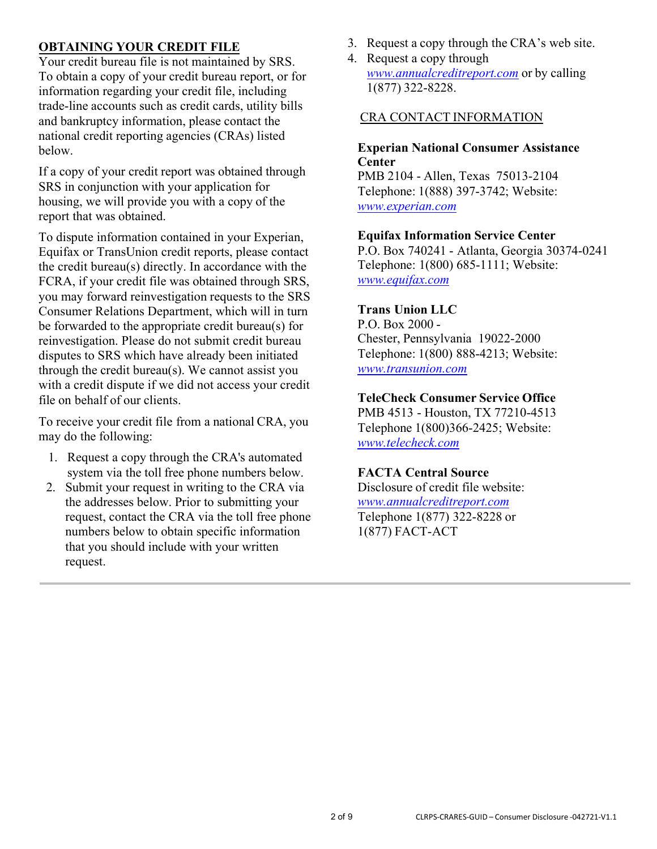## **OBTAINING YOUR CREDIT FILE**

Your credit bureau file is not maintained by SRS. To obtain a copy of your credit bureau report, or for information regarding your credit file, including trade-line accounts such as credit cards, utility bills and bankruptcy information, please contact the national credit reporting agencies (CRAs) listed below.

If a copy of your credit report was obtained through SRS in conjunction with your application for housing, we will provide you with a copy of the report that was obtained.

To dispute information contained in your Experian, Equifax or TransUnion credit reports, please contact the credit bureau(s) directly. In accordance with the FCRA, if your credit file was obtained through SRS, you may forward reinvestigation requests to the SRS Consumer Relations Department, which will in turn be forwarded to the appropriate credit bureau(s) for reinvestigation. Please do not submit credit bureau disputes to SRS which have already been initiated through the credit bureau(s). We cannot assist you with a credit dispute if we did not access your credit file on behalf of our clients.

To receive your credit file from a national CRA, you may do the following:

- 1. Request a copy through the CRA's automated system via the toll free phone numbers below.
- 2. Submit your request in writing to the CRA via the addresses below. Prior to submitting your request, contact the CRA via the toll free phone numbers below to obtain specific information that you should include with your written request.
- 3. Request a copy through the CRA's web site.
- 4. Request a copy through *[www.annualcreditreport.com](http://www.annualcreditreport.com/)* or by calling 1(877) 322-8228.

#### CRA CONTACT INFORMATION

**Experian National Consumer Assistance Center** PMB 2104 - Allen, Texas 75013-2104

Telephone: 1(888) 397-3742; Website: *[www.experian.com](http://www.experian.com/)*

#### **Equifax Information Service Center**

P.O. Box 740241 - Atlanta, Georgia 30374-0241 Telephone: 1(800) 685-1111; Website: *[www.equifax.com](http://www.equifax.com/)*

#### **Trans Union LLC**

P.O. Box 2000 - Chester, Pennsylvania 19022-2000 Telephone: 1(800) 888-4213; Website: *[www.transunion.com](http://www.transunion.com/)*

# **TeleCheck Consumer Service Office**

PMB 4513 - Houston, TX 77210-4513 Telephone 1(800)366-2425; Website: *[www.telecheck.com](http://www.telecheck.com/)*

#### **FACTA Central Source**

Disclosure of credit file website: *[www.annualcreditreport.com](http://www.annualcreditreport.com/)* Telephone 1(877) 322-8228 or 1(877) FACT- ACT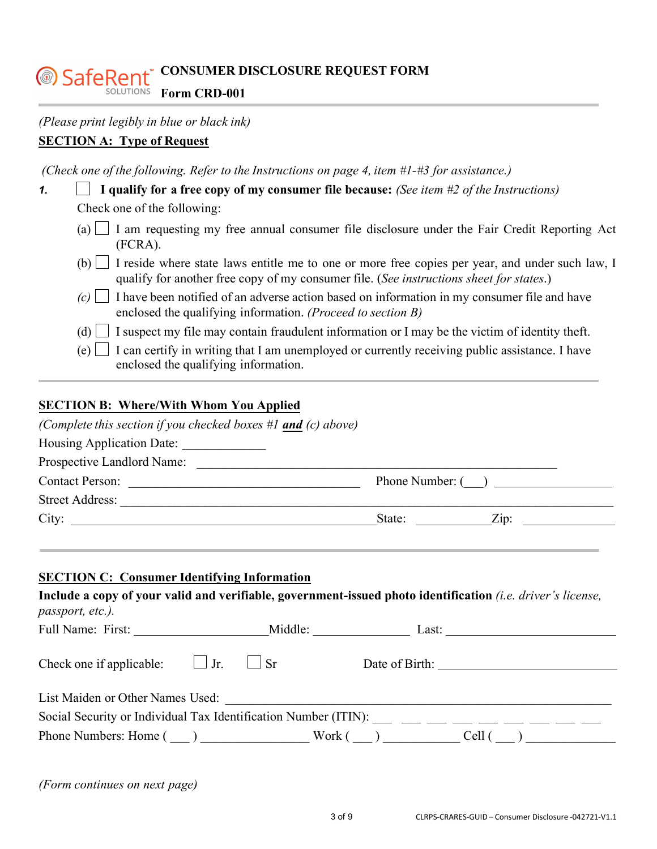#### **CONSUMER DISCLOSURE REQUEST FORM** SafeRent **Form CRD-001**

## **SECTION A: Type of Request**

*(Check one of the following. Refer to the Instructions on page 4, item #1-#3 for assistance.)* 

| 1. | I qualify for a free copy of my consumer file because: (See item $#2$ of the Instructions)                                                                                                            |
|----|-------------------------------------------------------------------------------------------------------------------------------------------------------------------------------------------------------|
|    | Check one of the following:                                                                                                                                                                           |
|    | (a) $\Box$ I am requesting my free annual consumer file disclosure under the Fair Credit Reporting Act<br>(FCRA).                                                                                     |
|    | (b) $\Box$ I reside where state laws entitle me to one or more free copies per year, and under such law, I<br>qualify for another free copy of my consumer file. (See instructions sheet for states.) |
|    | I have been notified of an adverse action based on information in my consumer file and have<br>$(c)$    <br>enclosed the qualifying information. (Proceed to section B)                               |
|    | $\alpha$ and $\alpha$ is the state of $\alpha$ is the state of $\alpha$ is the state of $\alpha$ is the state of $\alpha$<br>$\left(1\right)$                                                         |

(d)  $\Box$  I suspect my file may contain fraudulent information or I may be the victim of identity theft.

 $(e)$  I can certify in writing that I am unemployed or currently receiving public assistance. I have enclosed the qualifying information.

### **SECTION B: Where/With Whom You Applied**

| (Complete this section if you checked boxes #1 and (c) above)                                                                          |                |                                                                       |
|----------------------------------------------------------------------------------------------------------------------------------------|----------------|-----------------------------------------------------------------------|
| Housing Application Date:                                                                                                              |                |                                                                       |
|                                                                                                                                        |                |                                                                       |
| Contact Person:                                                                                                                        |                | Phone Number: ( )                                                     |
|                                                                                                                                        |                |                                                                       |
|                                                                                                                                        |                | State: $\angle$ $\angle$ $\angle$ $\angle$ $\angle$ $\angle$ $\angle$ |
| <b>SECTION C: Consumer Identifying Information</b>                                                                                     |                |                                                                       |
| Include a copy of your valid and verifiable, government-issued photo identification <i>(i.e. driver's license,</i><br>passport, etc.). |                |                                                                       |
|                                                                                                                                        |                |                                                                       |
| Check one if applicable: $\Box$ Jr. $\Box$ Sr                                                                                          | Date of Birth: |                                                                       |

| List Maiden or Other Names Used:                                |        |       |
|-----------------------------------------------------------------|--------|-------|
| Social Security or Individual Tax Identification Number (ITIN): |        |       |
| Phone Numbers: Home (                                           | Work ( | Cell. |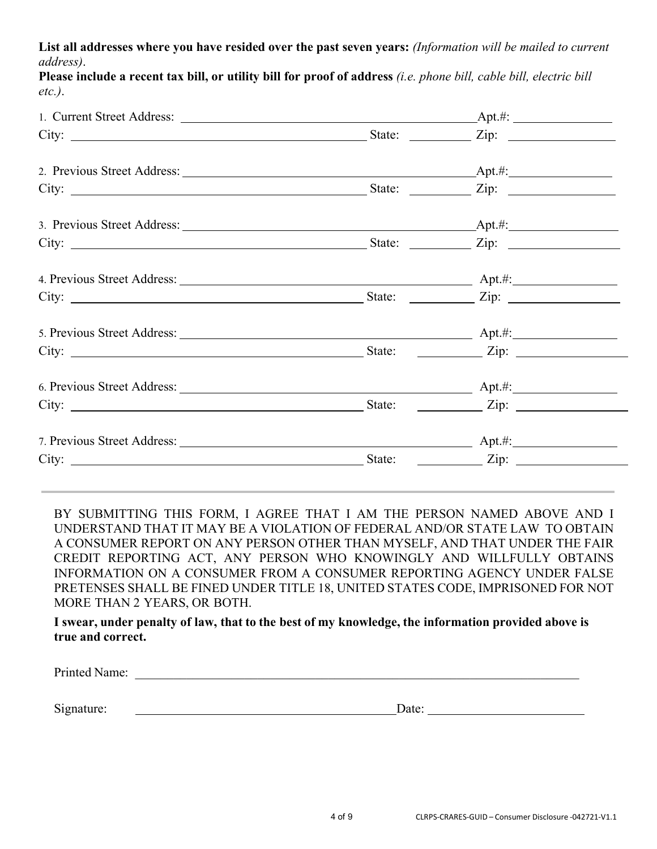**List all addresses where you have resided over the past seven years:** *(Information will be mailed to current address)*.

**Please include a recent tax bill, or utility bill for proof of address** *(i.e. phone bill, cable bill, electric bill etc.)*.

|                                                  | State: <u>Zip:</u> Zip:   |  |
|--------------------------------------------------|---------------------------|--|
|                                                  |                           |  |
|                                                  |                           |  |
|                                                  |                           |  |
|                                                  |                           |  |
|                                                  |                           |  |
|                                                  |                           |  |
|                                                  |                           |  |
|                                                  | State: <u>Letter Zip:</u> |  |
|                                                  |                           |  |
| City: <u>City:</u> City: <u>City:</u> City: 2ip: |                           |  |

BY SUBMITTING THIS FORM, I AGREE THAT I AM THE PERSON NAMED ABOVE AND I UNDERSTAND THAT IT MAY BE A VIOLATION OF FEDERAL AND/OR STATE LAW TO OBTAIN A CONSUMER REPORT ON ANY PERSON OTHER THAN MYSELF, AND THAT UNDER THE FAIR CREDIT REPORTING ACT, ANY PERSON WHO KNOWINGLY AND WILLFULLY OBTAINS INFORMATION ON A CONSUMER FROM A CONSUMER REPORTING AGENCY UNDER FALSE PRETENSES SHALL BE FINED UNDER TITLE 18, UNITED STATES CODE, IMPRISONED FOR NOT MORE THAN 2 YEARS, OR BOTH.

**I swear, under penalty of law, that to the best of my knowledge, the information provided above is true and correct.**

| $\mathbf{p}_{r}$<br>ане<br>. |  |
|------------------------------|--|
|                              |  |

Signature: Date: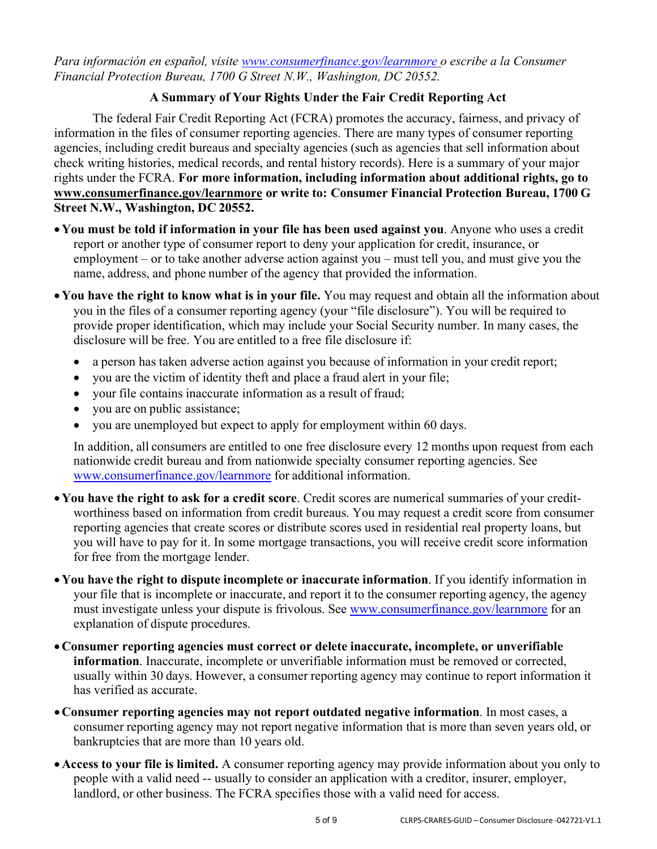*Para información en español, visite [www.consumerfinance.gov/learnmore o](http://www.consumerfinance.gov/learnmore) escribe a la Consumer Financial Protection Bureau, 1700 G Street N.W., Washington, DC 20552.* 

# **A Summary of Your Rights Under the Fair Credit Reporting Act**

The federal Fair Credit Reporting Act (FCRA) promotes the accuracy, fairness, and privacy of information in the files of consumer reporting agencies. There are many types of consumer reporting agencies, including credit bureaus and specialty agencies (such as agencies that sell information about check writing histories, medical records, and rental history records). Here is a summary of your major rights under the FCRA. **For more information, including information about additional rights, go to [www.consumerfinance.gov/learnmore o](http://www.consumerfinance.gov/learnmore)r write to: Consumer Financial Protection Bureau, 1700 G Street N.W., Washington, DC 20552.** 

- •**You must be told if information in your file has been used against you**. Anyone who uses a credit report or another type of consumer report to deny your application for credit, insurance, or employment – or to take another adverse action against you – must tell you, and must give you the name, address, and phone number of the agency that provided the information.
- •**You have the right to know what is in your file.** You may request and obtain all the information about you in the files of a consumer reporting agency (your "file disclosure"). You will be required to provide proper identification, which may include your Social Security number. In many cases, the disclosure will be free. You are entitled to a free file disclosure if:
	- a person has taken adverse action against you because of information in your credit report;
	- you are the victim of identity theft and place a fraud alert in your file;
	- your file contains inaccurate information as a result of fraud;
	- you are on public assistance;
	- you are unemployed but expect to apply for employment within 60 days.

In addition, all consumers are entitled to one free disclosure every 12 months upon request from each nationwide credit bureau and from nationwide specialty consumer reporting agencies. See [www.consumerfinance.gov/learnmore f](http://www.consumerfinance.gov/learnmore)or additional information.

- •**You have the right to ask for a credit score**. Credit scores are numerical summaries of your creditworthiness based on information from credit bureaus. You may request a credit score from consumer reporting agencies that create scores or distribute scores used in residential real property loans, but you will have to pay for it. In some mortgage transactions, you will receive credit score information for free from the mortgage lender.
- •**You have the right to dispute incomplete or inaccurate information**. If you identify information in your file that is incomplete or inaccurate, and report it to the consumer reporting agency, the agency must investigate unless your dispute is frivolous. See [www.consumerfinance.gov/learnmore f](http://www.consumerfinance.gov/learnmore)or an explanation of dispute procedures.
- •**Consumer reporting agencies must correct or delete inaccurate, incomplete, or unverifiable information**. Inaccurate, incomplete or unverifiable information must be removed or corrected, usually within 30 days. However, a consumer reporting agency may continue to report information it has verified as accurate.
- •**Consumer reporting agencies may not report outdated negative information**. In most cases, a consumer reporting agency may not report negative information that is more than seven years old, or bankruptcies that are more than 10 years old.
- •**Access to your file is limited.** A consumer reporting agency may provide information about you only to people with a valid need -- usually to consider an application with a creditor, insurer, employer, landlord, or other business. The FCRA specifies those with a valid need for access.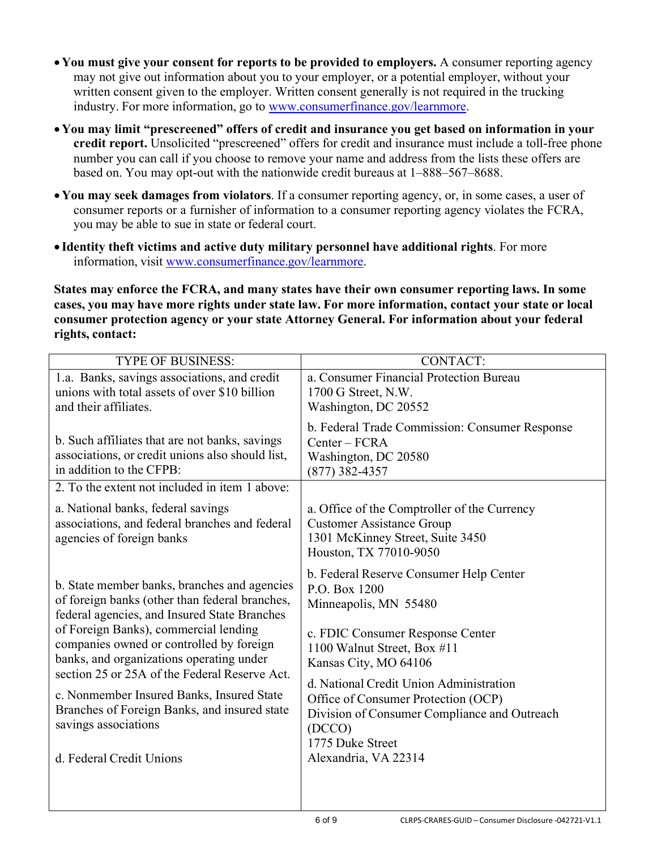- •**You must give your consent for reports to be provided to employers.** A consumer reporting agency may not give out information about you to your employer, or a potential employer, without your written consent given to the employer. Written consent generally is not required in the trucking industry. For more information, go to [www.consumerfinance.gov/learnmore.](http://www.consumerfinance.gov/learnmore)
- •**You may limit "prescreened" offers of credit and insurance you get based on information in your credit report.** Unsolicited "prescreened" offers for credit and insurance must include a toll-free phone number you can call if you choose to remove your name and address from the lists these offers are based on. You may opt-out with the nationwide credit bureaus at 1–888–567–8688.
- •**You may seek damages from violators**. If a consumer reporting agency, or, in some cases, a user of consumer reports or a furnisher of information to a consumer reporting agency violates the FCRA, you may be able to sue in state or federal court.
- **Identity theft victims and active duty military personnel have additional rights**. For more information, visit [www.consumerfinance.gov/learnmore.](http://www.consumerfinance.gov/learnmore)

**States may enforce the FCRA, and many states have their own consumer reporting laws. In some cases, you may have more rights under state law. For more information, contact your state or local consumer protection agency or your state Attorney General. For information about your federal rights, contact:** 

| <b>TYPE OF BUSINESS:</b>                                                                                                                                                                                                                                                                                                                                                                                                                                                          | <b>CONTACT:</b>                                                                                                                                                                                                                                                                                                                                                       |
|-----------------------------------------------------------------------------------------------------------------------------------------------------------------------------------------------------------------------------------------------------------------------------------------------------------------------------------------------------------------------------------------------------------------------------------------------------------------------------------|-----------------------------------------------------------------------------------------------------------------------------------------------------------------------------------------------------------------------------------------------------------------------------------------------------------------------------------------------------------------------|
| 1.a. Banks, savings associations, and credit<br>unions with total assets of over \$10 billion<br>and their affiliates.                                                                                                                                                                                                                                                                                                                                                            | a. Consumer Financial Protection Bureau<br>1700 G Street, N.W.<br>Washington, DC 20552                                                                                                                                                                                                                                                                                |
| b. Such affiliates that are not banks, savings<br>associations, or credit unions also should list,<br>in addition to the CFPB:<br>2. To the extent not included in item 1 above:                                                                                                                                                                                                                                                                                                  | b. Federal Trade Commission: Consumer Response<br>$Center - FCRA$<br>Washington, DC 20580<br>$(877)$ 382-4357                                                                                                                                                                                                                                                         |
| a. National banks, federal savings<br>associations, and federal branches and federal<br>agencies of foreign banks                                                                                                                                                                                                                                                                                                                                                                 | a. Office of the Comptroller of the Currency<br><b>Customer Assistance Group</b><br>1301 McKinney Street, Suite 3450<br>Houston, TX 77010-9050                                                                                                                                                                                                                        |
| b. State member banks, branches and agencies<br>of foreign banks (other than federal branches,<br>federal agencies, and Insured State Branches<br>of Foreign Banks), commercial lending<br>companies owned or controlled by foreign<br>banks, and organizations operating under<br>section 25 or 25A of the Federal Reserve Act.<br>c. Nonmember Insured Banks, Insured State<br>Branches of Foreign Banks, and insured state<br>savings associations<br>d. Federal Credit Unions | b. Federal Reserve Consumer Help Center<br>P.O. Box 1200<br>Minneapolis, MN 55480<br>c. FDIC Consumer Response Center<br>1100 Walnut Street, Box #11<br>Kansas City, MO 64106<br>d. National Credit Union Administration<br>Office of Consumer Protection (OCP)<br>Division of Consumer Compliance and Outreach<br>(DCCO)<br>1775 Duke Street<br>Alexandria, VA 22314 |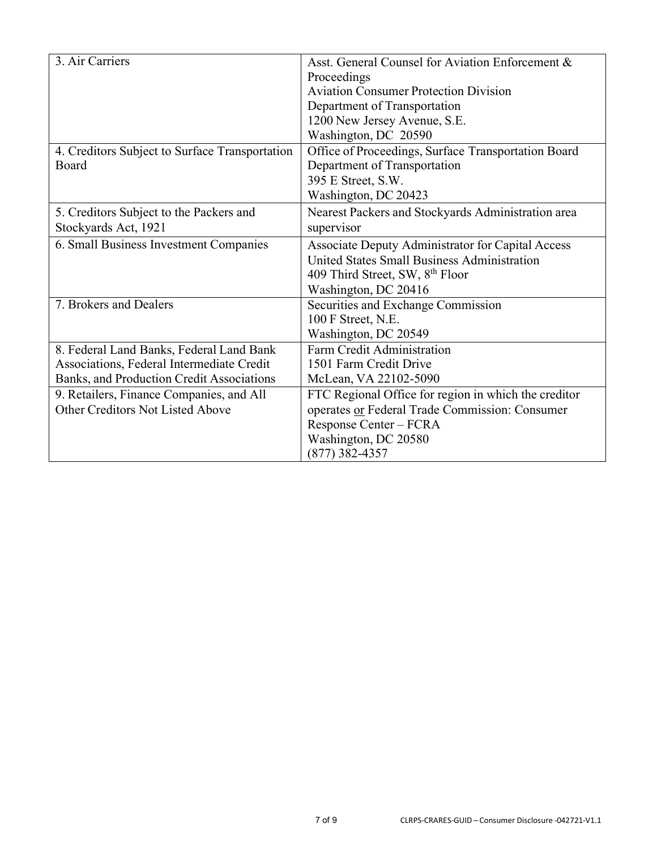| 3. Air Carriers                                | Asst. General Counsel for Aviation Enforcement &     |
|------------------------------------------------|------------------------------------------------------|
|                                                | Proceedings                                          |
|                                                | <b>Aviation Consumer Protection Division</b>         |
|                                                | Department of Transportation                         |
|                                                | 1200 New Jersey Avenue, S.E.                         |
|                                                | Washington, DC 20590                                 |
| 4. Creditors Subject to Surface Transportation | Office of Proceedings, Surface Transportation Board  |
| Board                                          | Department of Transportation                         |
|                                                | 395 E Street, S.W.                                   |
|                                                | Washington, DC 20423                                 |
| 5. Creditors Subject to the Packers and        | Nearest Packers and Stockyards Administration area   |
| Stockyards Act, 1921                           | supervisor                                           |
| 6. Small Business Investment Companies         | Associate Deputy Administrator for Capital Access    |
|                                                | United States Small Business Administration          |
|                                                | 409 Third Street, SW, 8 <sup>th</sup> Floor          |
|                                                | Washington, DC 20416                                 |
| 7. Brokers and Dealers                         | Securities and Exchange Commission                   |
|                                                | 100 F Street, N.E.                                   |
|                                                | Washington, DC 20549                                 |
| 8. Federal Land Banks, Federal Land Bank       | Farm Credit Administration                           |
| Associations, Federal Intermediate Credit      | 1501 Farm Credit Drive                               |
| Banks, and Production Credit Associations      | McLean, VA 22102-5090                                |
| 9. Retailers, Finance Companies, and All       | FTC Regional Office for region in which the creditor |
| <b>Other Creditors Not Listed Above</b>        | operates or Federal Trade Commission: Consumer       |
|                                                | Response Center - FCRA                               |
|                                                | Washington, DC 20580                                 |
|                                                | $(877)$ 382-4357                                     |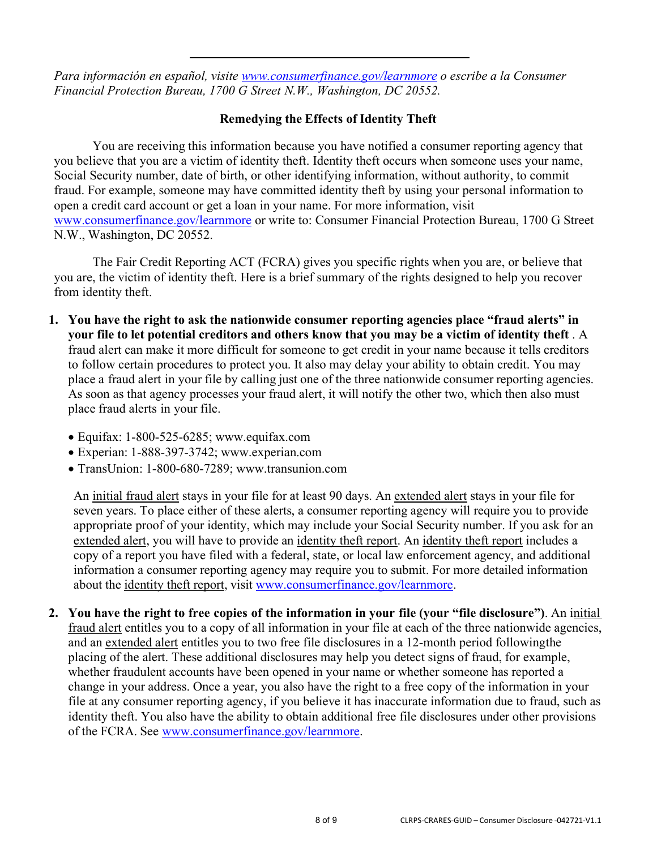*Para información en español, visite [www.consumerfinance.gov/learnmore o](http://www.consumerfinance.gov/learnmore) escribe a la Consumer Financial Protection Bureau, 1700 G Street N.W., Washington, DC 20552.* 

## **Remedying the Effects of Identity Theft**

You are receiving this information because you have notified a consumer reporting agency that you believe that you are a victim of identity theft. Identity theft occurs when someone uses your name, Social Security number, date of birth, or other identifying information, without authority, to commit fraud. For example, someone may have committed identity theft by using your personal information to open a credit card account or get a loan in your name. For more information, visit [www.consumerfinance.gov/learnmore o](http://www.consumerfinance.gov/learnmore)r write to: Consumer Financial Protection Bureau, 1700 G Street N.W., Washington, DC 20552.

The Fair Credit Reporting ACT (FCRA) gives you specific rights when you are, or believe that you are, the victim of identity theft. Here is a brief summary of the rights designed to help you recover from identity theft.

- **1. You have the right to ask the nationwide consumer reporting agencies place "fraud alerts" in your file to let potential creditors and others know that you may be a victim of identity theft** . A fraud alert can make it more difficult for someone to get credit in your name because it tells creditors to follow certain procedures to protect you. It also may delay your ability to obtain credit. You may place a fraud alert in your file by calling just one of the three nationwide consumer reporting agencies. As soon as that agency processes your fraud alert, it will notify the other two, which then also must place fraud alerts in your file.
	- Equifax: 1-800-525-6285; [www.equifax.com](http://www.equifax.com/)
	- Experian: 1-888-397-3742; [www.experian.com](http://www.experian.com/)
	- TransUnion: 1-800-680-7289; [www.transunion.com](http://www.transunion.com/)

An initial fraud alert stays in your file for at least 90 days. An extended alert stays in your file for seven years. To place either of these alerts, a consumer reporting agency will require you to provide appropriate proof of your identity, which may include your Social Security number. If you ask for an extended alert, you will have to provide an identity theft report. An identity theft report includes a copy of a report you have filed with a federal, state, or local law enforcement agency, and additional information a consumer reporting agency may require you to submit. For more detailed information about the identity theft report, visit [www.consumerfinance.gov/learnmore.](http://www.consumerfinance.gov/learnmore)

**2. You have the right to free copies of the information in your file (your "file disclosure")**. An initial fraud alert entitles you to a copy of all information in your file at each of the three nationwide agencies, and an extended alert entitles you to two free file disclosures in a 12-month period following the placing of the alert. These additional disclosures may help you detect signs of fraud, for example, whether fraudulent accounts have been opened in your name or whether someone has reported a change in your address. Once a year, you also have the right to a free copy of the information in your file at any consumer reporting agency, if you believe it has inaccurate information due to fraud, such as identity theft. You also have the ability to obtain additional free file disclosures under other provisions of the FCRA. See [www.consumerfinance.gov/learnmore.](http://www.consumerfinance.gov/learnmore)